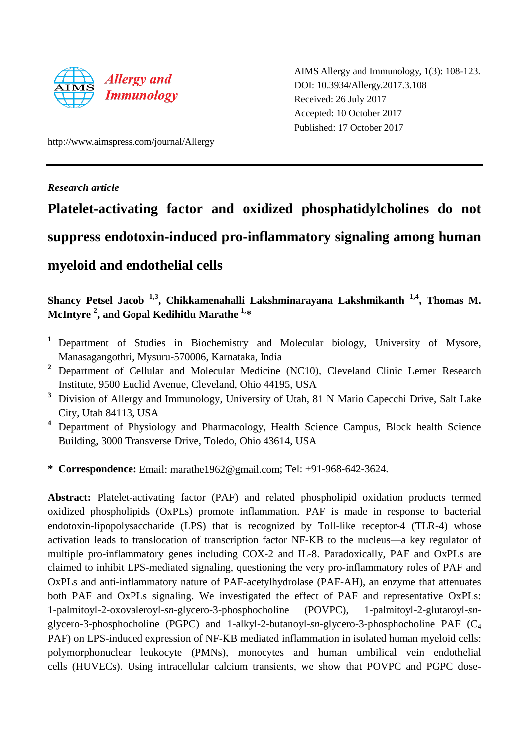

AIMS Allergy and Immunology, 1(3): 108-123. DOI: 10.3934/Allergy.2017.3.108 Received: 26 July 2017 Accepted: 10 October 2017 Published: 17 October 2017

http://www.aimspress.com/journal/Allergy

*Research article*

# **Platelet-activating factor and oxidized phosphatidylcholines do not suppress endotoxin-induced pro-inflammatory signaling among human myeloid and endothelial cells**

# **Shancy Petsel Jacob 1,3 , Chikkamenahalli Lakshminarayana Lakshmikanth 1,4, Thomas M. McIntyre 2 , and Gopal Kedihitlu Marathe 1, \***

- **<sup>1</sup>** Department of Studies in Biochemistry and Molecular biology, University of Mysore, Manasagangothri, Mysuru-570006, Karnataka, India
- **<sup>2</sup>** Department of Cellular and Molecular Medicine (NC10), Cleveland Clinic Lerner Research Institute, 9500 Euclid Avenue, Cleveland, Ohio 44195, USA
- **<sup>3</sup>** Division of Allergy and Immunology, University of Utah, 81 N Mario Capecchi Drive, Salt Lake City, Utah 84113, USA
- **<sup>4</sup>** Department of Physiology and Pharmacology, Health Science Campus, Block health Science Building, 3000 Transverse Drive, Toledo, Ohio 43614, USA
- **\* Correspondence:** Email: marathe1962@gmail.com; Tel: +91-968-642-3624.

**Abstract:** Platelet-activating factor (PAF) and related phospholipid oxidation products termed oxidized phospholipids (OxPLs) promote inflammation. PAF is made in response to bacterial endotoxin-lipopolysaccharide (LPS) that is recognized by Toll-like receptor-4 (TLR-4) whose activation leads to translocation of transcription factor NF-ΚB to the nucleus—a key regulator of multiple pro-inflammatory genes including COX-2 and IL-8. Paradoxically, PAF and OxPLs are claimed to inhibit LPS-mediated signaling, questioning the very pro-inflammatory roles of PAF and OxPLs and anti-inflammatory nature of PAF-acetylhydrolase (PAF-AH), an enzyme that attenuates both PAF and OxPLs signaling. We investigated the effect of PAF and representative OxPLs: 1-palmitoyl-2-oxovaleroyl-*sn*-glycero-3-phosphocholine (POVPC), 1-palmitoyl-2-glutaroyl-*sn*glycero-3-phosphocholine (PGPC) and 1-alkyl-2-butanoyl-*sn*-glycero-3-phosphocholine PAF (C<sup>4</sup> PAF) on LPS-induced expression of NF-KB mediated inflammation in isolated human myeloid cells: polymorphonuclear leukocyte (PMNs), monocytes and human umbilical vein endothelial cells (HUVECs). Using intracellular calcium transients, we show that POVPC and PGPC dose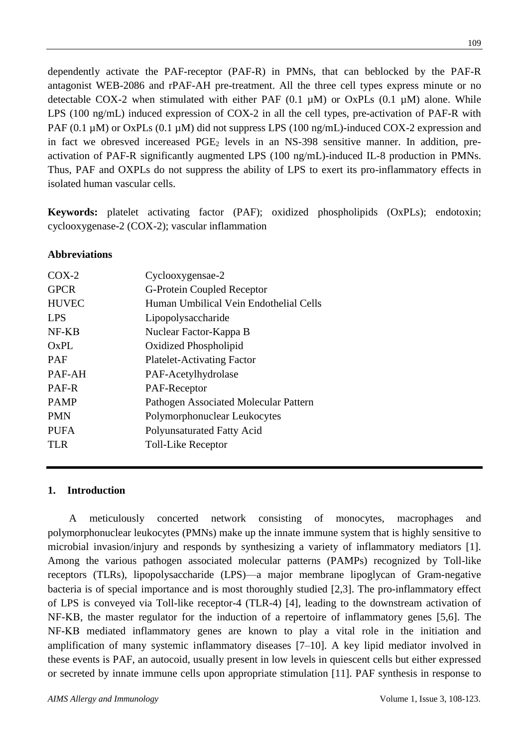dependently activate the PAF-receptor (PAF-R) in PMNs, that can beblocked by the PAF-R antagonist WEB-2086 and rPAF-AH pre-treatment. All the three cell types express minute or no detectable COX-2 when stimulated with either PAF  $(0.1 \mu M)$  or OxPLs  $(0.1 \mu M)$  alone. While LPS (100 ng/mL) induced expression of COX-2 in all the cell types, pre-activation of PAF-R with PAF (0.1  $\mu$ M) or OxPLs (0.1  $\mu$ M) did not suppress LPS (100 ng/mL)-induced COX-2 expression and in fact we obresved incereased  $PGE_2$  levels in an NS-398 sensitive manner. In addition, preactivation of PAF-R significantly augmented LPS (100 ng/mL)-induced IL-8 production in PMNs. Thus, PAF and OXPLs do not suppress the ability of LPS to exert its pro-inflammatory effects in isolated human vascular cells.

**Keywords:** platelet activating factor (PAF); oxidized phospholipids (OxPLs); endotoxin; cyclooxygenase-2 (COX-2); vascular inflammation

## **Abbreviations**

| $COX-2$      | Cyclooxygensae-2                       |
|--------------|----------------------------------------|
| <b>GPCR</b>  | G-Protein Coupled Receptor             |
| <b>HUVEC</b> | Human Umbilical Vein Endothelial Cells |
| <b>LPS</b>   | Lipopolysaccharide                     |
| NF-KB        | Nuclear Factor-Kappa B                 |
| OxPL         | Oxidized Phospholipid                  |
| <b>PAF</b>   | <b>Platelet-Activating Factor</b>      |
| PAF-AH       | PAF-Acetylhydrolase                    |
| PAF-R        | PAF-Receptor                           |
| <b>PAMP</b>  | Pathogen Associated Molecular Pattern  |
| <b>PMN</b>   | Polymorphonuclear Leukocytes           |
| <b>PUFA</b>  | Polyunsaturated Fatty Acid             |
| TLR.         | Toll-Like Receptor                     |
|              |                                        |

### **1. Introduction**

A meticulously concerted network consisting of monocytes, macrophages and polymorphonuclear leukocytes (PMNs) make up the innate immune system that is highly sensitive to microbial invasion/injury and responds by synthesizing a variety of inflammatory mediators [1]. Among the various pathogen associated molecular patterns (PAMPs) recognized by Toll-like receptors (TLRs), lipopolysaccharide (LPS)—a major membrane lipoglycan of Gram-negative bacteria is of special importance and is most thoroughly studied [2,3]. The pro-inflammatory effect of LPS is conveyed via Toll-like receptor-4 (TLR-4) [4], leading to the downstream activation of NF-KB, the master regulator for the induction of a repertoire of inflammatory genes [5,6]. The NF-ΚB mediated inflammatory genes are known to play a vital role in the initiation and amplification of many systemic inflammatory diseases [7–10]. A key lipid mediator involved in these events is PAF, an autocoid, usually present in low levels in quiescent cells but either expressed or secreted by innate immune cells upon appropriate stimulation [11]. PAF synthesis in response to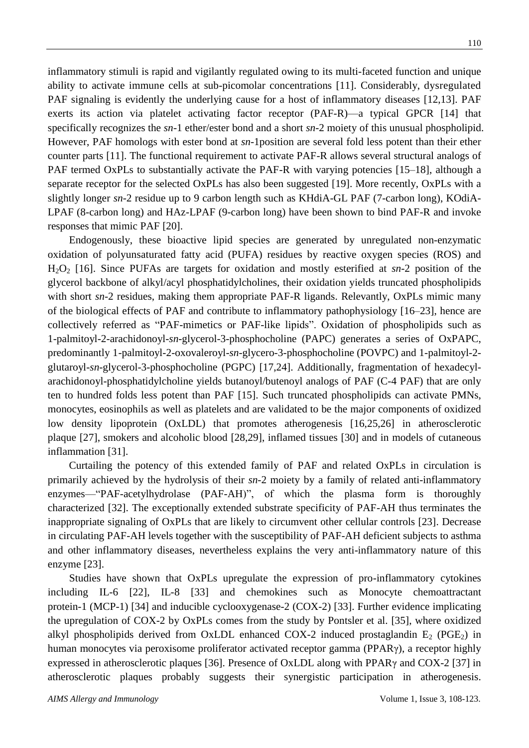inflammatory stimuli is rapid and vigilantly regulated owing to its multi-faceted function and unique ability to activate immune cells at sub-picomolar concentrations [11]. Considerably, dysregulated PAF signaling is evidently the underlying cause for a host of inflammatory diseases [12,13]. PAF exerts its action via platelet activating factor receptor (PAF-R)—a typical GPCR [14] that specifically recognizes the *sn*-1 ether/ester bond and a short *sn*-2 moiety of this unusual phospholipid. However, PAF homologs with ester bond at *sn*-1position are several fold less potent than their ether counter parts [11]. The functional requirement to activate PAF-R allows several structural analogs of PAF termed OxPLs to substantially activate the PAF-R with varying potencies [15–18], although a separate receptor for the selected OxPLs has also been suggested [19]. More recently, OxPLs with a slightly longer *sn*-2 residue up to 9 carbon length such as KHdiA-GL PAF (7-carbon long), KOdiA-LPAF (8-carbon long) and HAz-LPAF (9-carbon long) have been shown to bind PAF-R and invoke responses that mimic PAF [20].

Endogenously, these bioactive lipid species are generated by unregulated non-enzymatic oxidation of polyunsaturated fatty acid (PUFA) residues by reactive oxygen species (ROS) and H2O<sup>2</sup> [16]. Since PUFAs are targets for oxidation and mostly esterified at *sn*-2 position of the glycerol backbone of alkyl/acyl phosphatidylcholines, their oxidation yields truncated phospholipids with short  $sn-2$  residues, making them appropriate PAF-R ligands. Relevantly, OxPLs mimic many of the biological effects of PAF and contribute to inflammatory pathophysiology [16–23], hence are collectively referred as "PAF-mimetics or PAF-like lipids". Oxidation of phospholipids such as 1-palmitoyl-2-arachidonoyl-*sn*-glycerol-3-phosphocholine (PAPC) generates a series of OxPAPC, predominantly 1-palmitoyl-2-oxovaleroyl-*sn*-glycero-3-phosphocholine (POVPC) and 1-palmitoyl-2 glutaroyl-*sn*-glycerol-3-phosphocholine (PGPC) [17,24]. Additionally, fragmentation of hexadecylarachidonoyl-phosphatidylcholine yields butanoyl/butenoyl analogs of PAF (C-4 PAF) that are only ten to hundred folds less potent than PAF [15]. Such truncated phospholipids can activate PMNs, monocytes, eosinophils as well as platelets and are validated to be the major components of oxidized low density lipoprotein (OxLDL) that promotes atherogenesis [16,25,26] in atherosclerotic plaque [27], smokers and alcoholic blood [28,29], inflamed tissues [30] and in models of cutaneous inflammation [31].

Curtailing the potency of this extended family of PAF and related OxPLs in circulation is primarily achieved by the hydrolysis of their *sn*-2 moiety by a family of related anti-inflammatory enzymes—"PAF-acetylhydrolase (PAF-AH)", of which the plasma form is thoroughly characterized [32]. The exceptionally extended substrate specificity of PAF-AH thus terminates the inappropriate signaling of OxPLs that are likely to circumvent other cellular controls [23]. Decrease in circulating PAF-AH levels together with the susceptibility of PAF-AH deficient subjects to asthma and other inflammatory diseases, nevertheless explains the very anti-inflammatory nature of this enzyme [23].

Studies have shown that OxPLs upregulate the expression of pro-inflammatory cytokines including IL-6 [22], IL-8 [33] and chemokines such as Monocyte chemoattractant protein-1 (MCP-1) [34] and inducible cyclooxygenase-2 (COX-2) [33]. Further evidence implicating the upregulation of COX-2 by OxPLs comes from the study by Pontsler et al. [35], where oxidized alkyl phospholipids derived from OxLDL enhanced COX-2 induced prostaglandin  $E_2$  (PGE<sub>2</sub>) in human monocytes via peroxisome proliferator activated receptor gamma (PPARγ), a receptor highly expressed in atherosclerotic plaques [36]. Presence of OxLDL along with PPARγ and COX-2 [37] in atherosclerotic plaques probably suggests their synergistic participation in atherogenesis.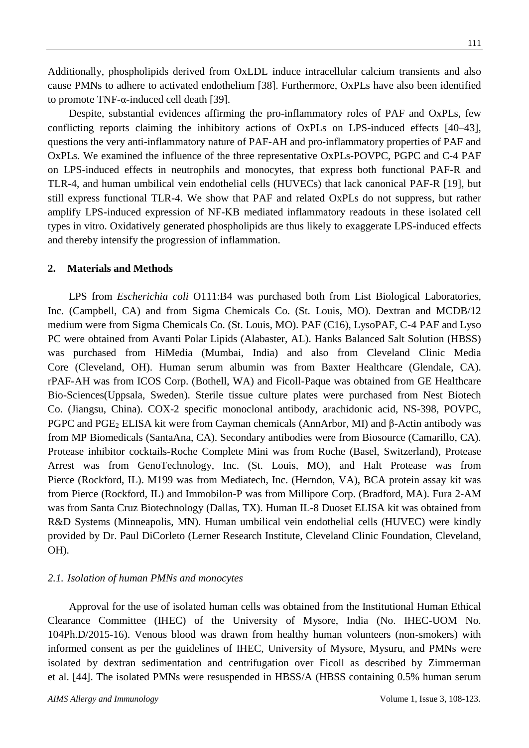Additionally, phospholipids derived from OxLDL induce intracellular calcium transients and also cause PMNs to adhere to activated endothelium [38]. Furthermore, OxPLs have also been identified to promote TNF-α-induced cell death [39].

Despite, substantial evidences affirming the pro-inflammatory roles of PAF and OxPLs, few conflicting reports claiming the inhibitory actions of OxPLs on LPS-induced effects [40–43], questions the very anti-inflammatory nature of PAF-AH and pro-inflammatory properties of PAF and OxPLs. We examined the influence of the three representative OxPLs-POVPC, PGPC and C-4 PAF on LPS-induced effects in neutrophils and monocytes, that express both functional PAF-R and TLR-4, and human umbilical vein endothelial cells (HUVECs) that lack canonical PAF-R [19], but still express functional TLR-4. We show that PAF and related OxPLs do not suppress, but rather amplify LPS-induced expression of NF-ΚB mediated inflammatory readouts in these isolated cell types in vitro. Oxidatively generated phospholipids are thus likely to exaggerate LPS-induced effects and thereby intensify the progression of inflammation.

## **2. Materials and Methods**

LPS from *Escherichia coli* O111:B4 was purchased both from List Biological Laboratories, Inc. (Campbell, CA) and from Sigma Chemicals Co. (St. Louis, MO). Dextran and MCDB/12 medium were from Sigma Chemicals Co. (St. Louis, MO). PAF (C16), LysoPAF, C-4 PAF and Lyso PC were obtained from Avanti Polar Lipids (Alabaster, AL). Hanks Balanced Salt Solution (HBSS) was purchased from HiMedia (Mumbai, India) and also from Cleveland Clinic Media Core (Cleveland, OH). Human serum albumin was from Baxter Healthcare (Glendale, CA). rPAF-AH was from ICOS Corp. (Bothell, WA) and Ficoll-Paque was obtained from GE Healthcare Bio-Sciences(Uppsala, Sweden). Sterile tissue culture plates were purchased from Nest Biotech Co. (Jiangsu, China). COX-2 specific monoclonal antibody, arachidonic acid, NS-398, POVPC, PGPC and PGE<sub>2</sub> ELISA kit were from Cayman chemicals (AnnArbor, MI) and β-Actin antibody was from MP Biomedicals (SantaAna, CA). Secondary antibodies were from Biosource (Camarillo, CA). Protease inhibitor cocktails-Roche Complete Mini was from Roche (Basel, Switzerland), Protease Arrest was from GenoTechnology, Inc. (St. Louis, MO), and Halt Protease was from Pierce (Rockford, IL). M199 was from Mediatech, Inc. (Herndon, VA), BCA protein assay kit was from Pierce (Rockford, IL) and Immobilon-P was from Millipore Corp. (Bradford, MA). Fura 2-AM was from Santa Cruz Biotechnology (Dallas, TX). Human IL-8 Duoset ELISA kit was obtained from R&D Systems (Minneapolis, MN). Human umbilical vein endothelial cells (HUVEC) were kindly provided by Dr. Paul DiCorleto (Lerner Research Institute, Cleveland Clinic Foundation, Cleveland, OH).

#### *2.1. Isolation of human PMNs and monocytes*

Approval for the use of isolated human cells was obtained from the Institutional Human Ethical Clearance Committee (IHEC) of the University of Mysore, India (No. IHEC-UOM No. 104Ph.D/2015-16). Venous blood was drawn from healthy human volunteers (non-smokers) with informed consent as per the guidelines of IHEC, University of Mysore, Mysuru, and PMNs were isolated by dextran sedimentation and centrifugation over Ficoll as described by Zimmerman et al. [44]. The isolated PMNs were resuspended in HBSS/A (HBSS containing 0.5% human serum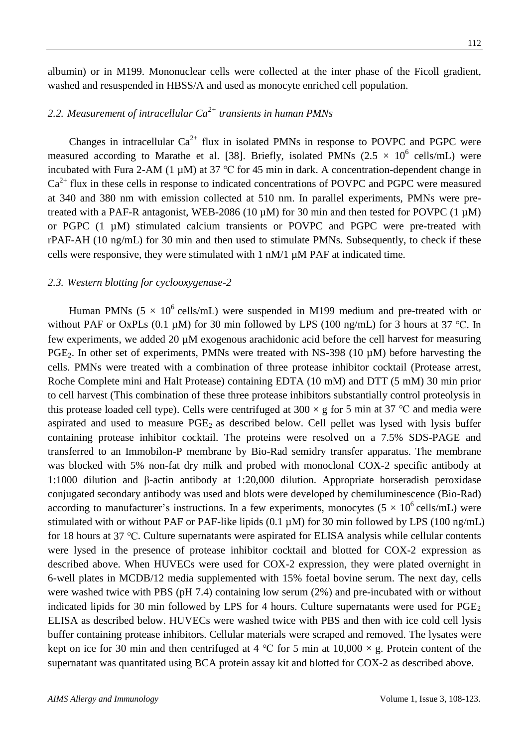albumin) or in M199. Mononuclear cells were collected at the inter phase of the Ficoll gradient, washed and resuspended in HBSS/A and used as monocyte enriched cell population.

## *2.2. Measurement of intracellular Ca 2+ transients in human PMNs*

Changes in intracellular  $Ca^{2+}$  flux in isolated PMNs in response to POVPC and PGPC were measured according to Marathe et al. [38]. Briefly, isolated PMNs  $(2.5 \times 10^6 \text{ cells/mL})$  were incubated with Fura 2-AM (1 µM) at 37 ℃ for 45 min in dark. A concentration-dependent change in  $Ca<sup>2+</sup>$  flux in these cells in response to indicated concentrations of POVPC and PGPC were measured at 340 and 380 nm with emission collected at 510 nm. In parallel experiments, PMNs were pretreated with a PAF-R antagonist, WEB-2086 (10  $\mu$ M) for 30 min and then tested for POVPC (1  $\mu$ M) or PGPC (1 µM) stimulated calcium transients or POVPC and PGPC were pre-treated with rPAF-AH (10 ng/mL) for 30 min and then used to stimulate PMNs. Subsequently, to check if these cells were responsive, they were stimulated with 1 nM/1 µM PAF at indicated time.

#### *2.3. Western blotting for cyclooxygenase-2*

Human PMNs ( $5 \times 10^6$  cells/mL) were suspended in M199 medium and pre-treated with or without PAF or OxPLs (0.1  $\mu$ M) for 30 min followed by LPS (100 ng/mL) for 3 hours at 37 °C. In few experiments, we added 20 µM exogenous arachidonic acid before the cell harvest for measuring PGE<sub>2</sub>. In other set of experiments, PMNs were treated with NS-398 (10 µM) before harvesting the cells. PMNs were treated with a combination of three protease inhibitor cocktail (Protease arrest, Roche Complete mini and Halt Protease) containing EDTA (10 mM) and DTT (5 mM) 30 min prior to cell harvest (This combination of these three protease inhibitors substantially control proteolysis in this protease loaded cell type). Cells were centrifuged at 300  $\times$  g for 5 min at 37 °C and media were aspirated and used to measure  $PGE_2$  as described below. Cell pellet was lysed with lysis buffer containing protease inhibitor cocktail. The proteins were resolved on a 7.5% SDS-PAGE and transferred to an Immobilon-P membrane by Bio-Rad semidry transfer apparatus. The membrane was blocked with 5% non-fat dry milk and probed with monoclonal COX-2 specific antibody at 1:1000 dilution and β-actin antibody at 1:20,000 dilution. Appropriate horseradish peroxidase conjugated secondary antibody was used and blots were developed by chemiluminescence (Bio-Rad) according to manufacturer's instructions. In a few experiments, monocytes  $(5 \times 10^6 \text{ cells/mL})$  were stimulated with or without PAF or PAF-like lipids (0.1 µM) for 30 min followed by LPS (100 ng/mL) for 18 hours at 37 ℃. Culture supernatants were aspirated for ELISA analysis while cellular contents were lysed in the presence of protease inhibitor cocktail and blotted for COX-2 expression as described above. When HUVECs were used for COX-2 expression, they were plated overnight in 6-well plates in MCDB/12 media supplemented with 15% foetal bovine serum. The next day, cells were washed twice with PBS (pH 7.4) containing low serum (2%) and pre-incubated with or without indicated lipids for 30 min followed by LPS for 4 hours. Culture supernatants were used for  $PGE_2$ ELISA as described below. HUVECs were washed twice with PBS and then with ice cold cell lysis buffer containing protease inhibitors. Cellular materials were scraped and removed. The lysates were kept on ice for 30 min and then centrifuged at 4 °C for 5 min at  $10,000 \times g$ . Protein content of the supernatant was quantitated using BCA protein assay kit and blotted for COX-2 as described above.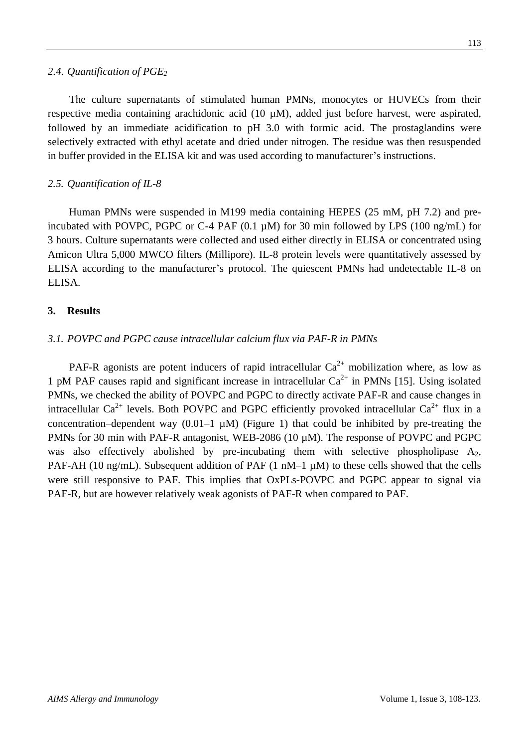#### *2.4. Quantification of PGE<sup>2</sup>*

The culture supernatants of stimulated human PMNs, monocytes or HUVECs from their respective media containing arachidonic acid (10 µM), added just before harvest, were aspirated, followed by an immediate acidification to pH 3.0 with formic acid. The prostaglandins were selectively extracted with ethyl acetate and dried under nitrogen. The residue was then resuspended in buffer provided in the ELISA kit and was used according to manufacturer's instructions.

#### *2.5. Quantification of IL-8*

Human PMNs were suspended in M199 media containing HEPES (25 mM, pH 7.2) and preincubated with POVPC, PGPC or C-4 PAF  $(0.1 \mu M)$  for 30 min followed by LPS  $(100 \text{ ng/mL})$  for 3 hours. Culture supernatants were collected and used either directly in ELISA or concentrated using Amicon Ultra 5,000 MWCO filters (Millipore). IL-8 protein levels were quantitatively assessed by ELISA according to the manufacturer's protocol. The quiescent PMNs had undetectable IL-8 on ELISA.

#### **3. Results**

#### *3.1. POVPC and PGPC cause intracellular calcium flux via PAF-R in PMNs*

PAF-R agonists are potent inducers of rapid intracellular  $Ca^{2+}$  mobilization where, as low as 1 pM PAF causes rapid and significant increase in intracellular  $Ca^{2+}$  in PMNs [15]. Using isolated PMNs, we checked the ability of POVPC and PGPC to directly activate PAF-R and cause changes in intracellular  $Ca^{2+}$  levels. Both POVPC and PGPC efficiently provoked intracellular  $Ca^{2+}$  flux in a concentration–dependent way  $(0.01-1 \mu M)$  (Figure 1) that could be inhibited by pre-treating the PMNs for 30 min with PAF-R antagonist, WEB-2086 (10  $\mu$ M). The response of POVPC and PGPC was also effectively abolished by pre-incubating them with selective phospholipase  $A_2$ , PAF-AH (10 ng/mL). Subsequent addition of PAF (1 nM–1  $\mu$ M) to these cells showed that the cells were still responsive to PAF. This implies that OxPLs-POVPC and PGPC appear to signal via PAF-R, but are however relatively weak agonists of PAF-R when compared to PAF.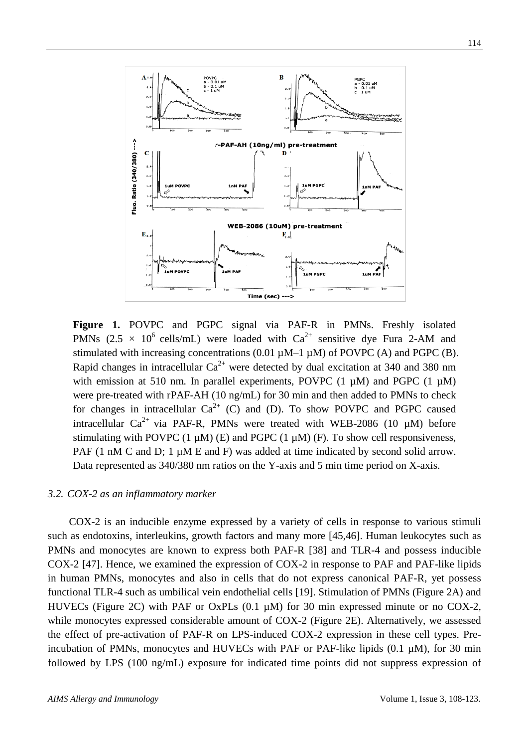

**Figure 1.** POVPC and PGPC signal via PAF-R in PMNs. Freshly isolated PMNs  $(2.5 \times 10^6 \text{ cells/mL})$  were loaded with  $Ca^{2+}$  sensitive dye Fura 2-AM and stimulated with increasing concentrations  $(0.01 \mu M - 1 \mu M)$  of POVPC  $(A)$  and PGPC  $(B)$ . Rapid changes in intracellular  $Ca^{2+}$  were detected by dual excitation at 340 and 380 nm with emission at 510 nm. In parallel experiments, POVPC  $(1 \mu M)$  and PGPC  $(1 \mu M)$ were pre-treated with rPAF-AH (10 ng/mL) for 30 min and then added to PMNs to check for changes in intracellular  $Ca^{2+}$  (C) and (D). To show POVPC and PGPC caused intracellular  $Ca^{2+}$  via PAF-R, PMNs were treated with WEB-2086 (10  $\mu$ M) before stimulating with POVPC  $(1 \mu M)$   $(E)$  and PGPC  $(1 \mu M)$   $(F)$ . To show cell responsiveness, PAF (1 nM C and D; 1  $\mu$ M E and F) was added at time indicated by second solid arrow. Data represented as 340/380 nm ratios on the Y-axis and 5 min time period on X-axis.

#### *3.2. COX-2 as an inflammatory marker*

COX-2 is an inducible enzyme expressed by a variety of cells in response to various stimuli such as endotoxins, interleukins, growth factors and many more [45,46]. Human leukocytes such as PMNs and monocytes are known to express both PAF-R [38] and TLR-4 and possess inducible COX-2 [47]. Hence, we examined the expression of COX-2 in response to PAF and PAF-like lipids in human PMNs, monocytes and also in cells that do not express canonical PAF-R, yet possess functional TLR-4 such as umbilical vein endothelial cells [19]. Stimulation of PMNs (Figure 2A) and HUVECs (Figure 2C) with PAF or OxPLs (0.1  $\mu$ M) for 30 min expressed minute or no COX-2, while monocytes expressed considerable amount of COX-2 (Figure 2E). Alternatively, we assessed the effect of pre-activation of PAF-R on LPS-induced COX-2 expression in these cell types. Preincubation of PMNs, monocytes and HUVECs with PAF or PAF-like lipids (0.1  $\mu$ M), for 30 min followed by LPS (100 ng/mL) exposure for indicated time points did not suppress expression of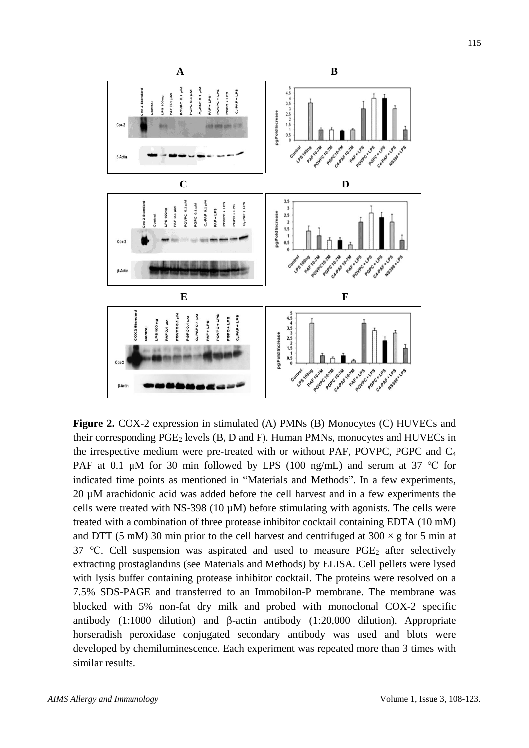

**Figure 2.** COX-2 expression in stimulated (A) PMNs (B) Monocytes (C) HUVECs and their corresponding  $PGE_2$  levels (B, D and F). Human PMNs, monocytes and HUVECs in the irrespective medium were pre-treated with or without PAF, POVPC, PGPC and  $C_4$ PAF at 0.1 µM for 30 min followed by LPS (100 ng/mL) and serum at 37 °C for indicated time points as mentioned in "Materials and Methods". In a few experiments, 20 µM arachidonic acid was added before the cell harvest and in a few experiments the cells were treated with NS-398 (10  $\mu$ M) before stimulating with agonists. The cells were treated with a combination of three protease inhibitor cocktail containing EDTA (10 mM) and DTT (5 mM) 30 min prior to the cell harvest and centrifuged at  $300 \times g$  for 5 min at 37 °C. Cell suspension was aspirated and used to measure  $PGE_2$  after selectively extracting prostaglandins (see Materials and Methods) by ELISA. Cell pellets were lysed with lysis buffer containing protease inhibitor cocktail. The proteins were resolved on a 7.5% SDS-PAGE and transferred to an Immobilon-P membrane. The membrane was blocked with 5% non-fat dry milk and probed with monoclonal COX-2 specific antibody (1:1000 dilution) and β-actin antibody (1:20,000 dilution). Appropriate horseradish peroxidase conjugated secondary antibody was used and blots were developed by chemiluminescence. Each experiment was repeated more than 3 times with similar results.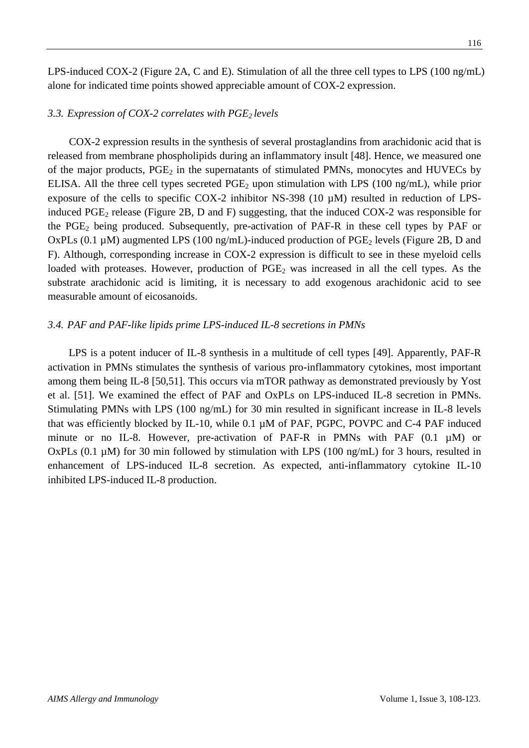LPS-induced COX-2 (Figure 2A, C and E). Stimulation of all the three cell types to LPS (100 ng/mL) alone for indicated time points showed appreciable amount of COX-2 expression.

## *3.3. Expression of COX-2 correlates with PGE2 levels*

COX-2 expression results in the synthesis of several prostaglandins from arachidonic acid that is released from membrane phospholipids during an inflammatory insult [48]. Hence, we measured one of the major products,  $PGE_2$  in the supernatants of stimulated PMNs, monocytes and HUVECs by ELISA. All the three cell types secreted  $PGE_2$  upon stimulation with LPS (100 ng/mL), while prior exposure of the cells to specific COX-2 inhibitor NS-398 (10 µM) resulted in reduction of LPSinduced  $PGE_2$  release (Figure 2B, D and F) suggesting, that the induced  $COX-2$  was responsible for the  $PGE_2$  being produced. Subsequently, pre-activation of PAF-R in these cell types by PAF or OxPLs (0.1  $\mu$ M) augmented LPS (100 ng/mL)-induced production of PGE<sub>2</sub> levels (Figure 2B, D and F). Although, corresponding increase in COX-2 expression is difficult to see in these myeloid cells loaded with proteases. However, production of  $PGE_2$  was increased in all the cell types. As the substrate arachidonic acid is limiting, it is necessary to add exogenous arachidonic acid to see measurable amount of eicosanoids.

## *3.4. PAF and PAF-like lipids prime LPS-induced IL-8 secretions in PMNs*

LPS is a potent inducer of IL-8 synthesis in a multitude of cell types [49]. Apparently, PAF-R activation in PMNs stimulates the synthesis of various pro-inflammatory cytokines, most important among them being IL-8 [50,51]. This occurs via mTOR pathway as demonstrated previously by Yost et al. [51]. We examined the effect of PAF and OxPLs on LPS-induced IL-8 secretion in PMNs. Stimulating PMNs with LPS (100 ng/mL) for 30 min resulted in significant increase in IL-8 levels that was efficiently blocked by IL-10, while 0.1 µM of PAF, PGPC, POVPC and C-4 PAF induced minute or no IL-8. However, pre-activation of PAF-R in PMNs with PAF (0.1  $\mu$ M) or OxPLs (0.1  $\mu$ M) for 30 min followed by stimulation with LPS (100 ng/mL) for 3 hours, resulted in enhancement of LPS-induced IL-8 secretion. As expected, anti-inflammatory cytokine IL-10 inhibited LPS-induced IL-8 production.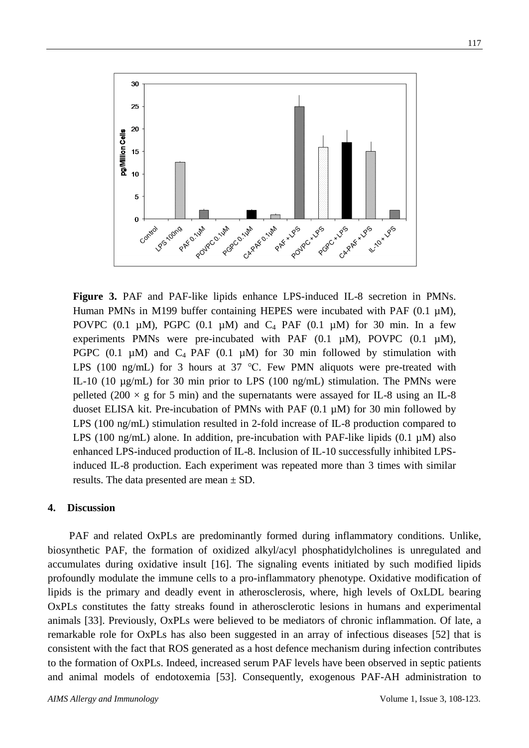

**Figure 3.** PAF and PAF-like lipids enhance LPS-induced IL-8 secretion in PMNs. Human PMNs in M199 buffer containing HEPES were incubated with PAF  $(0.1 \mu M)$ , POVPC (0.1  $\mu$ M), PGPC (0.1  $\mu$ M) and C<sub>4</sub> PAF (0.1  $\mu$ M) for 30 min. In a few experiments PMNs were pre-incubated with PAF  $(0.1 \mu M)$ , POVPC  $(0.1 \mu M)$ , PGPC  $(0.1 \mu M)$  and  $C_4$  PAF  $(0.1 \mu M)$  for 30 min followed by stimulation with LPS (100 ng/mL) for 3 hours at 37 °C. Few PMN aliquots were pre-treated with IL-10 (10 µg/mL) for 30 min prior to LPS (100 ng/mL) stimulation. The PMNs were pelleted (200  $\times$  g for 5 min) and the supernatants were assayed for IL-8 using an IL-8 duoset ELISA kit. Pre-incubation of PMNs with PAF (0.1 µM) for 30 min followed by LPS (100 ng/mL) stimulation resulted in 2-fold increase of IL-8 production compared to LPS (100 ng/mL) alone. In addition, pre-incubation with PAF-like lipids  $(0.1 \mu M)$  also enhanced LPS-induced production of IL-8. Inclusion of IL-10 successfully inhibited LPSinduced IL-8 production. Each experiment was repeated more than 3 times with similar results. The data presented are mean  $\pm$  SD.

#### **4. Discussion**

PAF and related OxPLs are predominantly formed during inflammatory conditions. Unlike, biosynthetic PAF, the formation of oxidized alkyl/acyl phosphatidylcholines is unregulated and accumulates during oxidative insult [16]. The signaling events initiated by such modified lipids profoundly modulate the immune cells to a pro-inflammatory phenotype. Oxidative modification of lipids is the primary and deadly event in atherosclerosis, where, high levels of OxLDL bearing OxPLs constitutes the fatty streaks found in atherosclerotic lesions in humans and experimental animals [33]. Previously, OxPLs were believed to be mediators of chronic inflammation. Of late, a remarkable role for OxPLs has also been suggested in an array of infectious diseases [52] that is consistent with the fact that ROS generated as a host defence mechanism during infection contributes to the formation of OxPLs. Indeed, increased serum PAF levels have been observed in septic patients and animal models of endotoxemia [53]. Consequently, exogenous PAF-AH administration to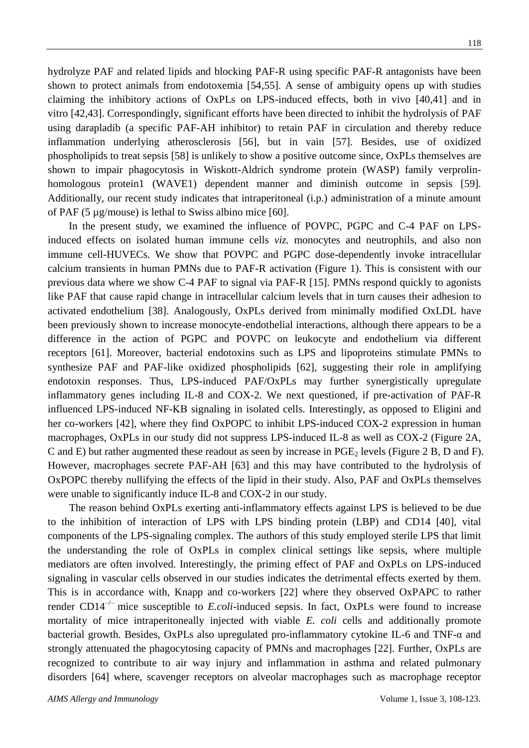hydrolyze PAF and related lipids and blocking PAF-R using specific PAF-R antagonists have been shown to protect animals from endotoxemia [54,55]. A sense of ambiguity opens up with studies claiming the inhibitory actions of OxPLs on LPS-induced effects, both in vivo [40,41] and in vitro [42,43]. Correspondingly, significant efforts have been directed to inhibit the hydrolysis of PAF using darapladib (a specific PAF-AH inhibitor) to retain PAF in circulation and thereby reduce inflammation underlying atherosclerosis [56], but in vain [57]. Besides, use of oxidized phospholipids to treat sepsis [58] is unlikely to show a positive outcome since, OxPLs themselves are shown to impair phagocytosis in Wiskott-Aldrich syndrome protein (WASP) family verprolinhomologous protein1 (WAVE1) dependent manner and diminish outcome in sepsis [59]. Additionally, our recent study indicates that intraperitoneal (i.p.) administration of a minute amount of PAF (5 µg/mouse) is lethal to Swiss albino mice [60].

In the present study, we examined the influence of POVPC, PGPC and C-4 PAF on LPSinduced effects on isolated human immune cells *viz.* monocytes and neutrophils, and also non immune cell-HUVECs. We show that POVPC and PGPC dose-dependently invoke intracellular calcium transients in human PMNs due to PAF-R activation (Figure 1). This is consistent with our previous data where we show C-4 PAF to signal via PAF-R [15]. PMNs respond quickly to agonists like PAF that cause rapid change in intracellular calcium levels that in turn causes their adhesion to activated endothelium [38]. Analogously, OxPLs derived from minimally modified OxLDL have been previously shown to increase monocyte-endothelial interactions, although there appears to be a difference in the action of PGPC and POVPC on leukocyte and endothelium via different receptors [61]. Moreover, bacterial endotoxins such as LPS and lipoproteins stimulate PMNs to synthesize PAF and PAF-like oxidized phospholipids [62], suggesting their role in amplifying endotoxin responses. Thus, LPS-induced PAF/OxPLs may further synergistically upregulate inflammatory genes including IL-8 and COX-2. We next questioned, if pre-activation of PAF-R influenced LPS-induced NF-ΚB signaling in isolated cells. Interestingly, as opposed to Eligini and her co-workers [42], where they find OxPOPC to inhibit LPS-induced COX-2 expression in human macrophages, OxPLs in our study did not suppress LPS-induced IL-8 as well as COX-2 (Figure 2A, C and E) but rather augmented these readout as seen by increase in  $PGE_2$  levels (Figure 2 B, D and F). However, macrophages secrete PAF-AH [63] and this may have contributed to the hydrolysis of OxPOPC thereby nullifying the effects of the lipid in their study. Also, PAF and OxPLs themselves were unable to significantly induce IL-8 and COX-2 in our study.

The reason behind OxPLs exerting anti-inflammatory effects against LPS is believed to be due to the inhibition of interaction of LPS with LPS binding protein (LBP) and CD14 [40], vital components of the LPS-signaling complex. The authors of this study employed sterile LPS that limit the understanding the role of OxPLs in complex clinical settings like sepsis, where multiple mediators are often involved. Interestingly, the priming effect of PAF and OxPLs on LPS-induced signaling in vascular cells observed in our studies indicates the detrimental effects exerted by them. This is in accordance with, Knapp and co-workers [22] where they observed OxPAPC to rather render CD14<sup> $-/-$ </sup> mice susceptible to *E.coli*-induced sepsis. In fact, OxPLs were found to increase mortality of mice intraperitoneally injected with viable *E. coli* cells and additionally promote bacterial growth. Besides, OxPLs also upregulated pro-inflammatory cytokine IL-6 and TNF- $\alpha$  and strongly attenuated the phagocytosing capacity of PMNs and macrophages [22]. Further, OxPLs are recognized to contribute to air way injury and inflammation in asthma and related pulmonary disorders [64] where, scavenger receptors on alveolar macrophages such as macrophage receptor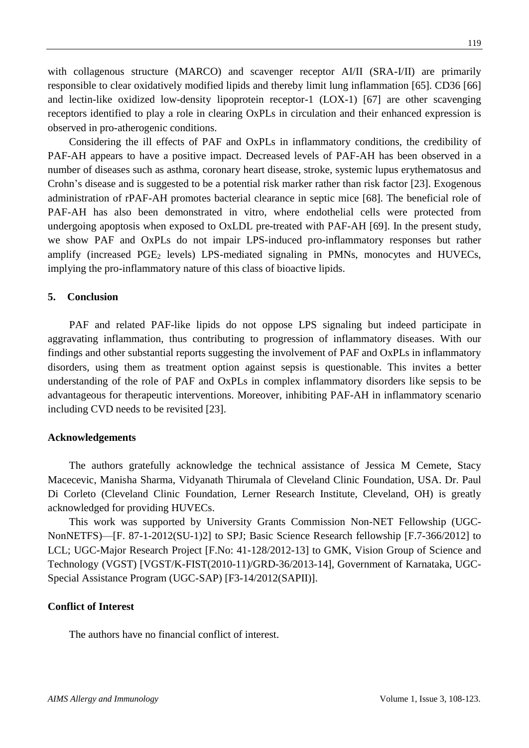with collagenous structure (MARCO) and scavenger receptor AI/II (SRA-I/II) are primarily responsible to clear oxidatively modified lipids and thereby limit lung inflammation [65]. CD36 [66] and lectin-like oxidized low-density lipoprotein receptor-1 (LOX-1) [67] are other scavenging receptors identified to play a role in clearing OxPLs in circulation and their enhanced expression is observed in pro-atherogenic conditions.

Considering the ill effects of PAF and OxPLs in inflammatory conditions, the credibility of PAF-AH appears to have a positive impact. Decreased levels of PAF-AH has been observed in a number of diseases such as asthma, coronary heart disease, stroke, systemic lupus erythematosus and Crohn's disease and is suggested to be a potential risk marker rather than risk factor [23]. Exogenous administration of rPAF-AH promotes bacterial clearance in septic mice [68]. The beneficial role of PAF-AH has also been demonstrated in vitro, where endothelial cells were protected from undergoing apoptosis when exposed to OxLDL pre-treated with PAF-AH [69]. In the present study, we show PAF and OxPLs do not impair LPS-induced pro-inflammatory responses but rather amplify (increased  $PGE_2$  levels) LPS-mediated signaling in PMNs, monocytes and HUVECs, implying the pro-inflammatory nature of this class of bioactive lipids.

## **5. Conclusion**

PAF and related PAF-like lipids do not oppose LPS signaling but indeed participate in aggravating inflammation, thus contributing to progression of inflammatory diseases. With our findings and other substantial reports suggesting the involvement of PAF and OxPLs in inflammatory disorders, using them as treatment option against sepsis is questionable. This invites a better understanding of the role of PAF and OxPLs in complex inflammatory disorders like sepsis to be advantageous for therapeutic interventions. Moreover, inhibiting PAF-AH in inflammatory scenario including CVD needs to be revisited [23].

#### **Acknowledgements**

The authors gratefully acknowledge the technical assistance of Jessica M Cemete, Stacy Macecevic, Manisha Sharma, Vidyanath Thirumala of Cleveland Clinic Foundation, USA. Dr. Paul Di Corleto (Cleveland Clinic Foundation, Lerner Research Institute, Cleveland, OH) is greatly acknowledged for providing HUVECs.

This work was supported by University Grants Commission Non-NET Fellowship (UGC-NonNETFS)—[F. 87-1-2012(SU-1)2] to SPJ; Basic Science Research fellowship [F.7-366/2012] to LCL; UGC-Major Research Project [F.No: 41-128/2012-13] to GMK, Vision Group of Science and Technology (VGST) [VGST/K-FIST(2010-11)/GRD-36/2013-14], Government of Karnataka, UGC-Special Assistance Program (UGC-SAP) [F3-14/2012(SAPII)].

## **Conflict of Interest**

The authors have no financial conflict of interest.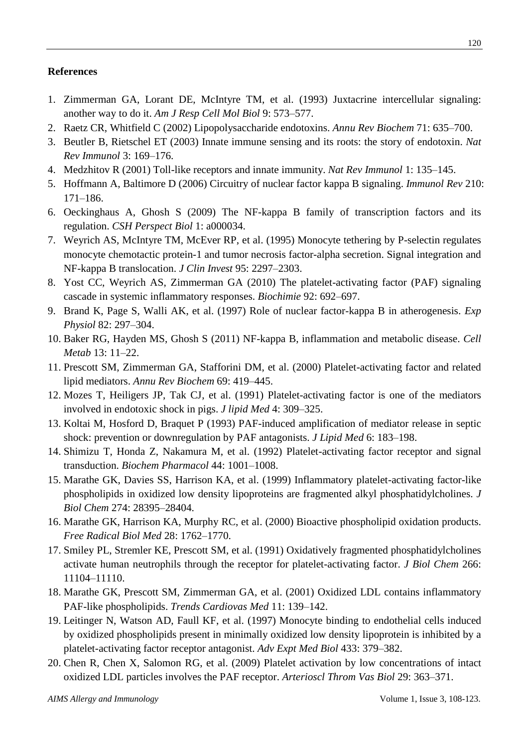## **References**

- 1. Zimmerman GA, Lorant DE, McIntyre TM, et al. (1993) Juxtacrine intercellular signaling: another way to do it. *Am J Resp Cell Mol Biol* 9: 573–577.
- 2. Raetz CR, Whitfield C (2002) Lipopolysaccharide endotoxins. *Annu Rev Biochem* 71: 635–700.
- 3. Beutler B, Rietschel ET (2003) Innate immune sensing and its roots: the story of endotoxin. *Nat Rev Immunol* 3: 169–176.
- 4. Medzhitov R (2001) Toll-like receptors and innate immunity. *Nat Rev Immunol* 1: 135–145.
- 5. Hoffmann A, Baltimore D (2006) Circuitry of nuclear factor kappa B signaling. *Immunol Rev* 210: 171–186.
- 6. Oeckinghaus A, Ghosh S (2009) The NF-kappa B family of transcription factors and its regulation. *CSH Perspect Biol* 1: a000034.
- 7. Weyrich AS, McIntyre TM, McEver RP, et al. (1995) Monocyte tethering by P-selectin regulates monocyte chemotactic protein-1 and tumor necrosis factor-alpha secretion. Signal integration and NF-kappa B translocation. *J Clin Invest* 95: 2297–2303.
- 8. Yost CC, Weyrich AS, Zimmerman GA (2010) The platelet-activating factor (PAF) signaling cascade in systemic inflammatory responses. *Biochimie* 92: 692–697.
- 9. Brand K, Page S, Walli AK, et al. (1997) Role of nuclear factor‐kappa B in atherogenesis. *Exp Physiol* 82: 297–304.
- 10. Baker RG, Hayden MS, Ghosh S (2011) NF-kappa B, inflammation and metabolic disease. *Cell Metab* 13: 11–22.
- 11. Prescott SM, Zimmerman GA, Stafforini DM, et al. (2000) Platelet-activating factor and related lipid mediators. *Annu Rev Biochem* 69: 419–445.
- 12. Mozes T, Heiligers JP, Tak CJ, et al. (1991) Platelet-activating factor is one of the mediators involved in endotoxic shock in pigs. *J lipid Med* 4: 309–325.
- 13. Koltai M, Hosford D, Braquet P (1993) PAF-induced amplification of mediator release in septic shock: prevention or downregulation by PAF antagonists. *J Lipid Med* 6: 183–198.
- 14. Shimizu T, Honda Z, Nakamura M, et al. (1992) Platelet-activating factor receptor and signal transduction. *Biochem Pharmacol* 44: 1001–1008.
- 15. Marathe GK, Davies SS, Harrison KA, et al. (1999) Inflammatory platelet-activating factor-like phospholipids in oxidized low density lipoproteins are fragmented alkyl phosphatidylcholines. *J Biol Chem* 274: 28395–28404.
- 16. Marathe GK, Harrison KA, Murphy RC, et al. (2000) Bioactive phospholipid oxidation products. *Free Radical Biol Med* 28: 1762–1770.
- 17. Smiley PL, Stremler KE, Prescott SM, et al. (1991) Oxidatively fragmented phosphatidylcholines activate human neutrophils through the receptor for platelet-activating factor. *J Biol Chem* 266: 11104–11110.
- 18. Marathe GK, Prescott SM, Zimmerman GA, et al. (2001) Oxidized LDL contains inflammatory PAF-like phospholipids. *Trends Cardiovas Med* 11: 139–142.
- 19. Leitinger N, Watson AD, Faull KF, et al. (1997) Monocyte binding to endothelial cells induced by oxidized phospholipids present in minimally oxidized low density lipoprotein is inhibited by a platelet-activating factor receptor antagonist. *Adv Expt Med Biol* 433: 379–382.
- 20. Chen R, Chen X, Salomon RG, et al. (2009) Platelet activation by low concentrations of intact oxidized LDL particles involves the PAF receptor. *Arterioscl Throm Vas Biol* 29: 363–371.

120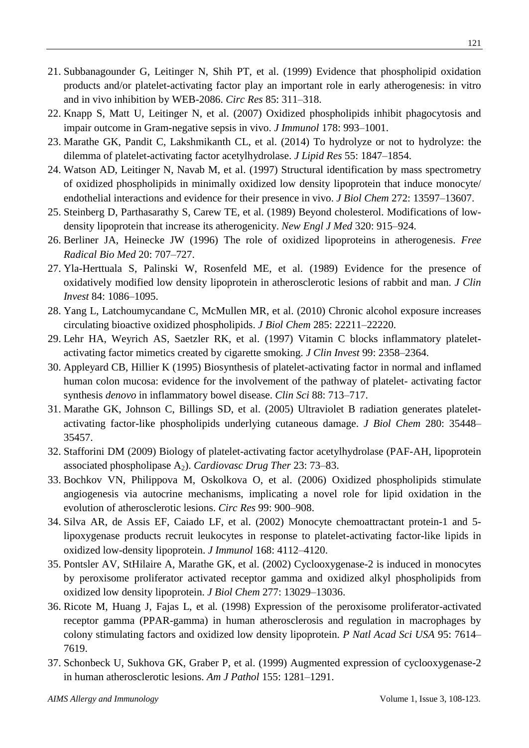- 21. Subbanagounder G, Leitinger N, Shih PT, et al. (1999) Evidence that phospholipid oxidation products and/or platelet-activating factor play an important role in early atherogenesis: in vitro and in vivo inhibition by WEB-2086. *Circ Res* 85: 311–318.
- 22. Knapp S, Matt U, Leitinger N, et al. (2007) Oxidized phospholipids inhibit phagocytosis and impair outcome in Gram-negative sepsis in vivo. *J Immunol* 178: 993–1001.
- 23. Marathe GK, Pandit C, Lakshmikanth CL, et al. (2014) To hydrolyze or not to hydrolyze: the dilemma of platelet-activating factor acetylhydrolase. *J Lipid Res* 55: 1847–1854.
- 24. Watson AD, Leitinger N, Navab M, et al. (1997) Structural identification by mass spectrometry of oxidized phospholipids in minimally oxidized low density lipoprotein that induce monocyte/ endothelial interactions and evidence for their presence in vivo. *J Biol Chem* 272: 13597–13607.
- 25. Steinberg D, Parthasarathy S, Carew TE, et al. (1989) Beyond cholesterol. Modifications of lowdensity lipoprotein that increase its atherogenicity. *New Engl J Med* 320: 915–924.
- 26. Berliner JA, Heinecke JW (1996) The role of oxidized lipoproteins in atherogenesis. *Free Radical Bio Med* 20: 707–727.
- 27. Yla-Herttuala S, Palinski W, Rosenfeld ME, et al. (1989) Evidence for the presence of oxidatively modified low density lipoprotein in atherosclerotic lesions of rabbit and man. *J Clin Invest* 84: 1086–1095.
- 28. Yang L, Latchoumycandane C, McMullen MR, et al. (2010) Chronic alcohol exposure increases circulating bioactive oxidized phospholipids. *J Biol Chem* 285: 22211–22220.
- 29. Lehr HA, Weyrich AS, Saetzler RK, et al. (1997) Vitamin C blocks inflammatory plateletactivating factor mimetics created by cigarette smoking. *J Clin Invest* 99: 2358–2364.
- 30. Appleyard CB, Hillier K (1995) Biosynthesis of platelet-activating factor in normal and inflamed human colon mucosa: evidence for the involvement of the pathway of platelet- activating factor synthesis *denovo* in inflammatory bowel disease. *Clin Sci* 88: 713–717.
- 31. Marathe GK, Johnson C, Billings SD, et al. (2005) Ultraviolet B radiation generates plateletactivating factor-like phospholipids underlying cutaneous damage. *J Biol Chem* 280: 35448– 35457.
- 32. Stafforini DM (2009) Biology of platelet-activating factor acetylhydrolase (PAF-AH, lipoprotein associated phospholipase A2). *Cardiovasc Drug Ther* 23: 73–83.
- 33. Bochkov VN, Philippova M, Oskolkova O, et al. (2006) Oxidized phospholipids stimulate angiogenesis via autocrine mechanisms, implicating a novel role for lipid oxidation in the evolution of atherosclerotic lesions. *Circ Res* 99: 900–908.
- 34. Silva AR, de Assis EF, Caiado LF, et al. (2002) Monocyte chemoattractant protein-1 and 5 lipoxygenase products recruit leukocytes in response to platelet-activating factor-like lipids in oxidized low-density lipoprotein. *J Immunol* 168: 4112–4120.
- 35. Pontsler AV, StHilaire A, Marathe GK, et al. (2002) Cyclooxygenase-2 is induced in monocytes by peroxisome proliferator activated receptor gamma and oxidized alkyl phospholipids from oxidized low density lipoprotein. *J Biol Chem* 277: 13029–13036.
- 36. Ricote M, Huang J, Fajas L, et al. (1998) Expression of the peroxisome proliferator-activated receptor gamma (PPAR-gamma) in human atherosclerosis and regulation in macrophages by colony stimulating factors and oxidized low density lipoprotein. *P Natl Acad Sci USA* 95: 7614– 7619.
- 37. Schonbeck U, Sukhova GK, Graber P, et al. (1999) Augmented expression of cyclooxygenase-2 in human atherosclerotic lesions. *Am J Pathol* 155: 1281–1291.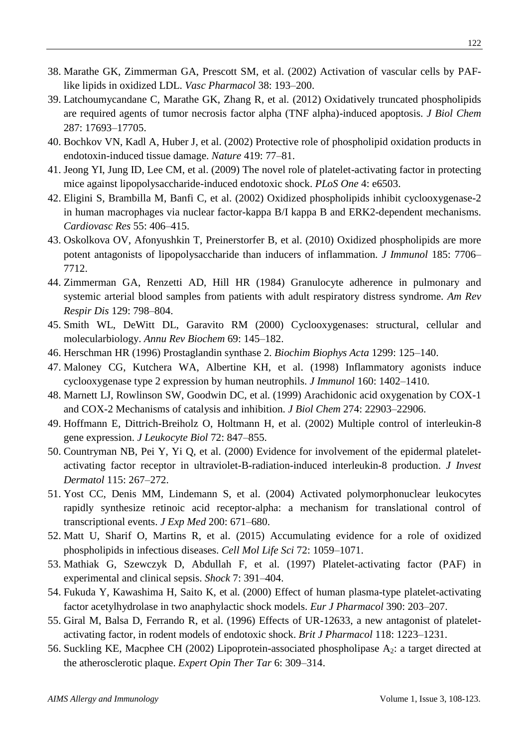- 38. Marathe GK, Zimmerman GA, Prescott SM, et al. (2002) Activation of vascular cells by PAFlike lipids in oxidized LDL. *Vasc Pharmacol* 38: 193–200.
- 39. Latchoumycandane C, Marathe GK, Zhang R, et al. (2012) Oxidatively truncated phospholipids are required agents of tumor necrosis factor alpha (TNF alpha)-induced apoptosis. *J Biol Chem*  287: 17693–17705.
- 40. Bochkov VN, Kadl A, Huber J, et al. (2002) Protective role of phospholipid oxidation products in endotoxin-induced tissue damage. *Nature* 419: 77–81.
- 41. Jeong YI, Jung ID, Lee CM, et al. (2009) The novel role of platelet-activating factor in protecting mice against lipopolysaccharide-induced endotoxic shock. *PLoS One* 4: e6503.
- 42. Eligini S, Brambilla M, Banfi C, et al. (2002) Oxidized phospholipids inhibit cyclooxygenase-2 in human macrophages via nuclear factor-kappa B/I kappa B and ERK2-dependent mechanisms. *Cardiovasc Res* 55: 406–415.
- 43. Oskolkova OV, Afonyushkin T, Preinerstorfer B, et al. (2010) Oxidized phospholipids are more potent antagonists of lipopolysaccharide than inducers of inflammation. *J Immunol* 185: 7706– 7712.
- 44. Zimmerman GA, Renzetti AD, Hill HR (1984) Granulocyte adherence in pulmonary and systemic arterial blood samples from patients with adult respiratory distress syndrome. *Am Rev Respir Dis* 129: 798–804.
- 45. Smith WL, DeWitt DL, Garavito RM (2000) Cyclooxygenases: structural, cellular and molecularbiology. *Annu Rev Biochem* 69: 145–182.
- 46. Herschman HR (1996) Prostaglandin synthase 2. *Biochim Biophys Acta* 1299: 125–140.
- 47. Maloney CG, Kutchera WA, Albertine KH, et al. (1998) Inflammatory agonists induce cyclooxygenase type 2 expression by human neutrophils. *J Immunol* 160: 1402–1410.
- 48. Marnett LJ, Rowlinson SW, Goodwin DC, et al. (1999) Arachidonic acid oxygenation by COX-1 and COX-2 Mechanisms of catalysis and inhibition. *J Biol Chem* 274: 22903–22906.
- 49. Hoffmann E, Dittrich-Breiholz O, Holtmann H, et al. (2002) Multiple control of interleukin-8 gene expression. *J Leukocyte Biol* 72: 847–855.
- 50. Countryman NB, Pei Y, Yi Q, et al. (2000) Evidence for involvement of the epidermal plateletactivating factor receptor in ultraviolet-B-radiation-induced interleukin-8 production. *J Invest Dermatol* 115: 267–272.
- 51. Yost CC, Denis MM, Lindemann S, et al. (2004) Activated polymorphonuclear leukocytes rapidly synthesize retinoic acid receptor-alpha: a mechanism for translational control of transcriptional events. *J Exp Med* 200: 671–680.
- 52. Matt U, Sharif O, Martins R, et al. (2015) Accumulating evidence for a role of oxidized phospholipids in infectious diseases. *Cell Mol Life Sci* 72: 1059–1071.
- 53. Mathiak G, Szewczyk D, Abdullah F, et al. (1997) Platelet-activating factor (PAF) in experimental and clinical sepsis. *Shock* 7: 391–404.
- 54. Fukuda Y, Kawashima H, Saito K, et al. (2000) Effect of human plasma-type platelet-activating factor acetylhydrolase in two anaphylactic shock models. *Eur J Pharmacol* 390: 203–207.
- 55. Giral M, Balsa D, Ferrando R, et al. (1996) Effects of UR-12633, a new antagonist of plateletactivating factor, in rodent models of endotoxic shock. *Brit J Pharmacol* 118: 1223–1231.
- 56. Suckling KE, Macphee CH (2002) Lipoprotein-associated phospholipase A2: a target directed at the atherosclerotic plaque. *Expert Opin Ther Tar* 6: 309–314.